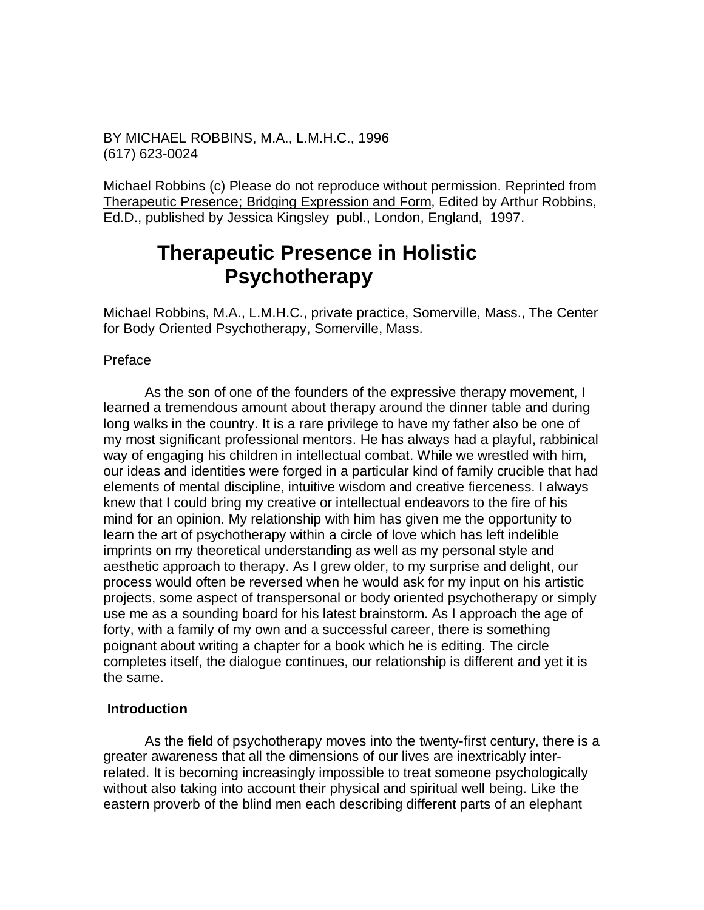BY MICHAEL ROBBINS, M.A., L.M.H.C., 1996 (617) 623-0024

Michael Robbins (c) Please do not reproduce without permission. Reprinted from Therapeutic Presence; Bridging Expression and Form, Edited by Arthur Robbins, Ed.D., published by Jessica Kingsley publ., London, England, 1997.

# **Therapeutic Presence in Holistic Psychotherapy**

Michael Robbins, M.A., L.M.H.C., private practice, Somerville, Mass., The Center for Body Oriented Psychotherapy, Somerville, Mass.

## Preface

 As the son of one of the founders of the expressive therapy movement, I learned a tremendous amount about therapy around the dinner table and during long walks in the country. It is a rare privilege to have my father also be one of my most significant professional mentors. He has always had a playful, rabbinical way of engaging his children in intellectual combat. While we wrestled with him, our ideas and identities were forged in a particular kind of family crucible that had elements of mental discipline, intuitive wisdom and creative fierceness. I always knew that I could bring my creative or intellectual endeavors to the fire of his mind for an opinion. My relationship with him has given me the opportunity to learn the art of psychotherapy within a circle of love which has left indelible imprints on my theoretical understanding as well as my personal style and aesthetic approach to therapy. As I grew older, to my surprise and delight, our process would often be reversed when he would ask for my input on his artistic projects, some aspect of transpersonal or body oriented psychotherapy or simply use me as a sounding board for his latest brainstorm. As I approach the age of forty, with a family of my own and a successful career, there is something poignant about writing a chapter for a book which he is editing. The circle completes itself, the dialogue continues, our relationship is different and yet it is the same.

## **Introduction**

 As the field of psychotherapy moves into the twenty-first century, there is a greater awareness that all the dimensions of our lives are inextricably interrelated. It is becoming increasingly impossible to treat someone psychologically without also taking into account their physical and spiritual well being. Like the eastern proverb of the blind men each describing different parts of an elephant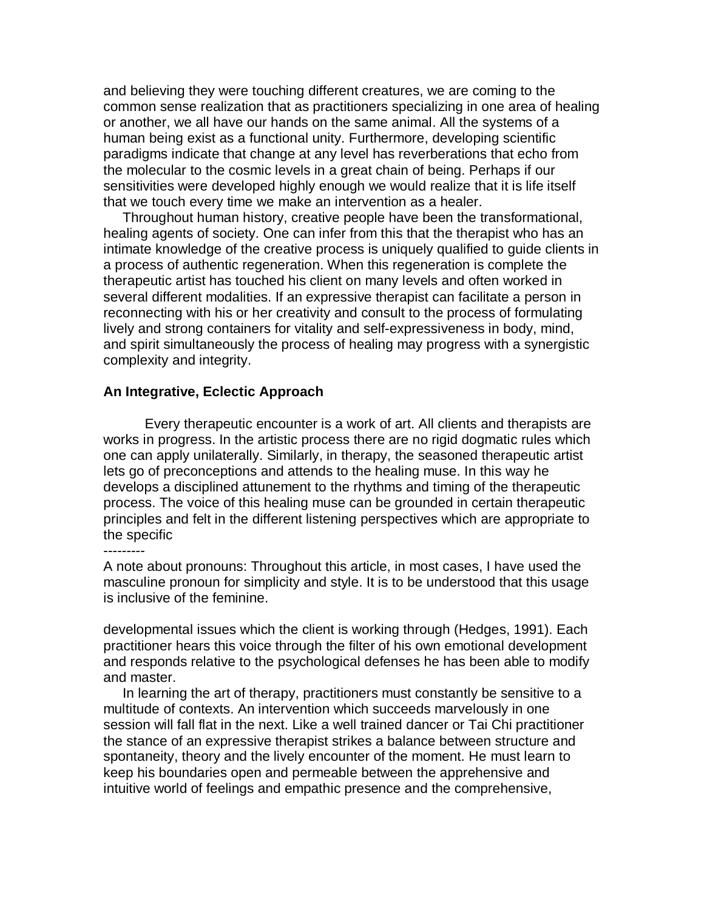and believing they were touching different creatures, we are coming to the common sense realization that as practitioners specializing in one area of healing or another, we all have our hands on the same animal. All the systems of a human being exist as a functional unity. Furthermore, developing scientific paradigms indicate that change at any level has reverberations that echo from the molecular to the cosmic levels in a great chain of being. Perhaps if our sensitivities were developed highly enough we would realize that it is life itself that we touch every time we make an intervention as a healer.

 Throughout human history, creative people have been the transformational, healing agents of society. One can infer from this that the therapist who has an intimate knowledge of the creative process is uniquely qualified to guide clients in a process of authentic regeneration. When this regeneration is complete the therapeutic artist has touched his client on many levels and often worked in several different modalities. If an expressive therapist can facilitate a person in reconnecting with his or her creativity and consult to the process of formulating lively and strong containers for vitality and self-expressiveness in body, mind, and spirit simultaneously the process of healing may progress with a synergistic complexity and integrity.

## **An Integrative, Eclectic Approach**

 Every therapeutic encounter is a work of art. All clients and therapists are works in progress. In the artistic process there are no rigid dogmatic rules which one can apply unilaterally. Similarly, in therapy, the seasoned therapeutic artist lets go of preconceptions and attends to the healing muse. In this way he develops a disciplined attunement to the rhythms and timing of the therapeutic process. The voice of this healing muse can be grounded in certain therapeutic principles and felt in the different listening perspectives which are appropriate to the specific

---------

A note about pronouns: Throughout this article, in most cases, I have used the masculine pronoun for simplicity and style. It is to be understood that this usage is inclusive of the feminine.

developmental issues which the client is working through (Hedges, 1991). Each practitioner hears this voice through the filter of his own emotional development and responds relative to the psychological defenses he has been able to modify and master.

 In learning the art of therapy, practitioners must constantly be sensitive to a multitude of contexts. An intervention which succeeds marvelously in one session will fall flat in the next. Like a well trained dancer or Tai Chi practitioner the stance of an expressive therapist strikes a balance between structure and spontaneity, theory and the lively encounter of the moment. He must learn to keep his boundaries open and permeable between the apprehensive and intuitive world of feelings and empathic presence and the comprehensive,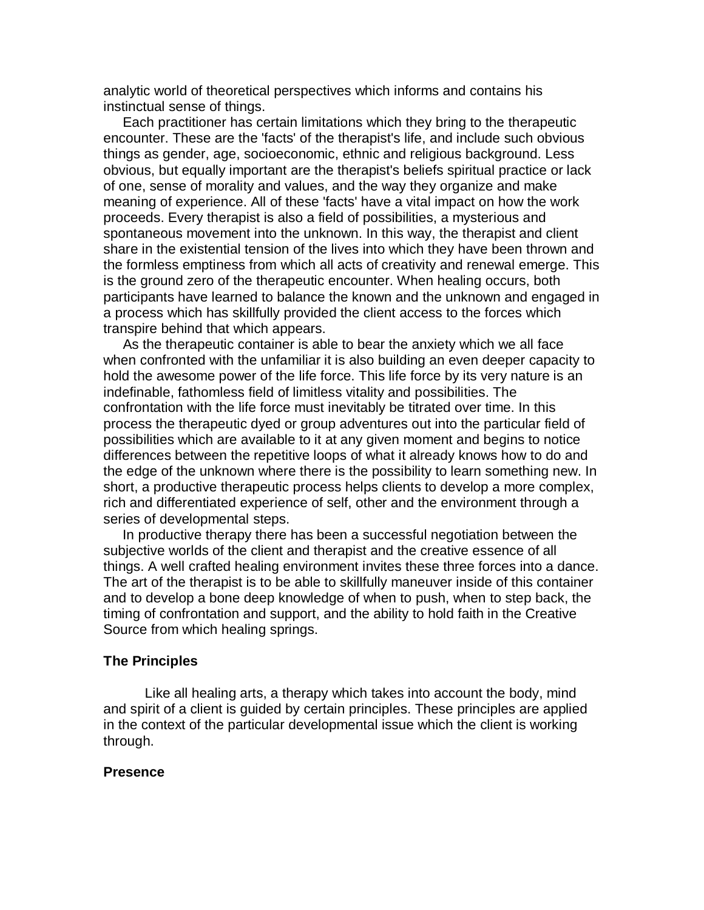analytic world of theoretical perspectives which informs and contains his instinctual sense of things.

 Each practitioner has certain limitations which they bring to the therapeutic encounter. These are the 'facts' of the therapist's life, and include such obvious things as gender, age, socioeconomic, ethnic and religious background. Less obvious, but equally important are the therapist's beliefs spiritual practice or lack of one, sense of morality and values, and the way they organize and make meaning of experience. All of these 'facts' have a vital impact on how the work proceeds. Every therapist is also a field of possibilities, a mysterious and spontaneous movement into the unknown. In this way, the therapist and client share in the existential tension of the lives into which they have been thrown and the formless emptiness from which all acts of creativity and renewal emerge. This is the ground zero of the therapeutic encounter. When healing occurs, both participants have learned to balance the known and the unknown and engaged in a process which has skillfully provided the client access to the forces which transpire behind that which appears.

 As the therapeutic container is able to bear the anxiety which we all face when confronted with the unfamiliar it is also building an even deeper capacity to hold the awesome power of the life force. This life force by its very nature is an indefinable, fathomless field of limitless vitality and possibilities. The confrontation with the life force must inevitably be titrated over time. In this process the therapeutic dyed or group adventures out into the particular field of possibilities which are available to it at any given moment and begins to notice differences between the repetitive loops of what it already knows how to do and the edge of the unknown where there is the possibility to learn something new. In short, a productive therapeutic process helps clients to develop a more complex, rich and differentiated experience of self, other and the environment through a series of developmental steps.

 In productive therapy there has been a successful negotiation between the subjective worlds of the client and therapist and the creative essence of all things. A well crafted healing environment invites these three forces into a dance. The art of the therapist is to be able to skillfully maneuver inside of this container and to develop a bone deep knowledge of when to push, when to step back, the timing of confrontation and support, and the ability to hold faith in the Creative Source from which healing springs.

### **The Principles**

 Like all healing arts, a therapy which takes into account the body, mind and spirit of a client is guided by certain principles. These principles are applied in the context of the particular developmental issue which the client is working through.

#### **Presence**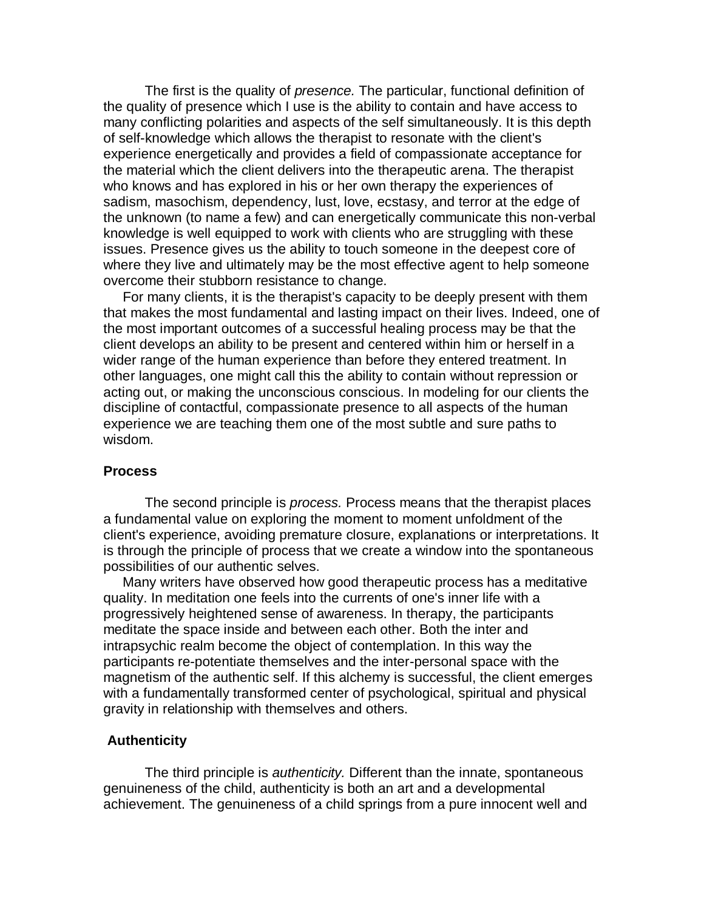The first is the quality of *presence.* The particular, functional definition of the quality of presence which I use is the ability to contain and have access to many conflicting polarities and aspects of the self simultaneously. It is this depth of self-knowledge which allows the therapist to resonate with the client's experience energetically and provides a field of compassionate acceptance for the material which the client delivers into the therapeutic arena. The therapist who knows and has explored in his or her own therapy the experiences of sadism, masochism, dependency, lust, love, ecstasy, and terror at the edge of the unknown (to name a few) and can energetically communicate this non-verbal knowledge is well equipped to work with clients who are struggling with these issues. Presence gives us the ability to touch someone in the deepest core of where they live and ultimately may be the most effective agent to help someone overcome their stubborn resistance to change.

 For many clients, it is the therapist's capacity to be deeply present with them that makes the most fundamental and lasting impact on their lives. Indeed, one of the most important outcomes of a successful healing process may be that the client develops an ability to be present and centered within him or herself in a wider range of the human experience than before they entered treatment. In other languages, one might call this the ability to contain without repression or acting out, or making the unconscious conscious. In modeling for our clients the discipline of contactful, compassionate presence to all aspects of the human experience we are teaching them one of the most subtle and sure paths to wisdom.

#### **Process**

 The second principle is *process.* Process means that the therapist places a fundamental value on exploring the moment to moment unfoldment of the client's experience, avoiding premature closure, explanations or interpretations. It is through the principle of process that we create a window into the spontaneous possibilities of our authentic selves.

 Many writers have observed how good therapeutic process has a meditative quality. In meditation one feels into the currents of one's inner life with a progressively heightened sense of awareness. In therapy, the participants meditate the space inside and between each other. Both the inter and intrapsychic realm become the object of contemplation. In this way the participants re-potentiate themselves and the inter-personal space with the magnetism of the authentic self. If this alchemy is successful, the client emerges with a fundamentally transformed center of psychological, spiritual and physical gravity in relationship with themselves and others.

## **Authenticity**

 The third principle is *authenticity.* Different than the innate, spontaneous genuineness of the child, authenticity is both an art and a developmental achievement. The genuineness of a child springs from a pure innocent well and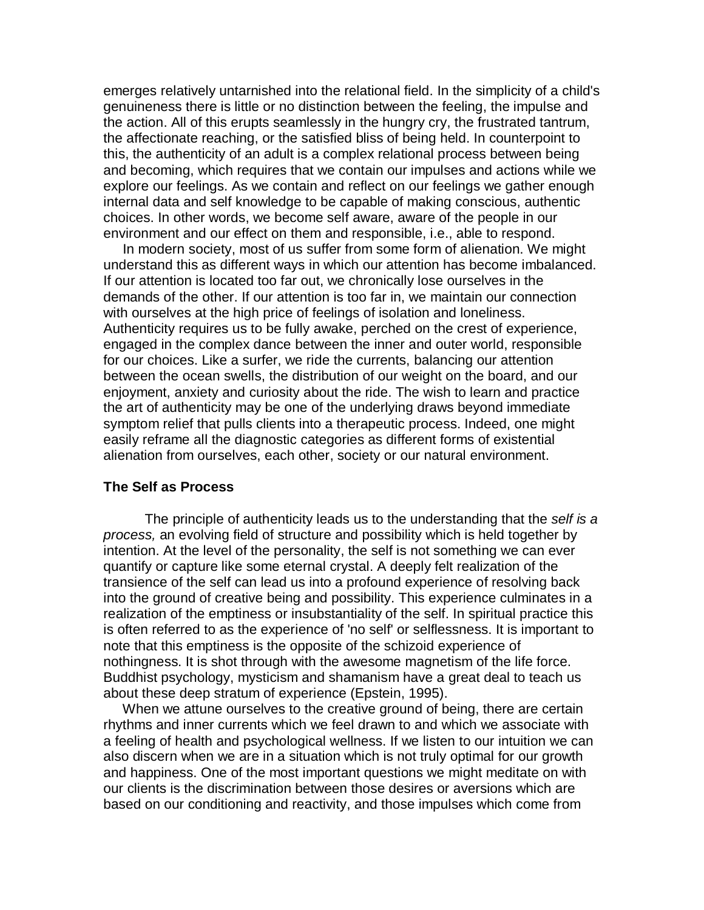emerges relatively untarnished into the relational field. In the simplicity of a child's genuineness there is little or no distinction between the feeling, the impulse and the action. All of this erupts seamlessly in the hungry cry, the frustrated tantrum, the affectionate reaching, or the satisfied bliss of being held. In counterpoint to this, the authenticity of an adult is a complex relational process between being and becoming, which requires that we contain our impulses and actions while we explore our feelings. As we contain and reflect on our feelings we gather enough internal data and self knowledge to be capable of making conscious, authentic choices. In other words, we become self aware, aware of the people in our environment and our effect on them and responsible, i.e., able to respond.

 In modern society, most of us suffer from some form of alienation. We might understand this as different ways in which our attention has become imbalanced. If our attention is located too far out, we chronically lose ourselves in the demands of the other. If our attention is too far in, we maintain our connection with ourselves at the high price of feelings of isolation and loneliness. Authenticity requires us to be fully awake, perched on the crest of experience, engaged in the complex dance between the inner and outer world, responsible for our choices. Like a surfer, we ride the currents, balancing our attention between the ocean swells, the distribution of our weight on the board, and our enjoyment, anxiety and curiosity about the ride. The wish to learn and practice the art of authenticity may be one of the underlying draws beyond immediate symptom relief that pulls clients into a therapeutic process. Indeed, one might easily reframe all the diagnostic categories as different forms of existential alienation from ourselves, each other, society or our natural environment.

## **The Self as Process**

 The principle of authenticity leads us to the understanding that the *self is a process,* an evolving field of structure and possibility which is held together by intention. At the level of the personality, the self is not something we can ever quantify or capture like some eternal crystal. A deeply felt realization of the transience of the self can lead us into a profound experience of resolving back into the ground of creative being and possibility. This experience culminates in a realization of the emptiness or insubstantiality of the self. In spiritual practice this is often referred to as the experience of 'no self' or selflessness. It is important to note that this emptiness is the opposite of the schizoid experience of nothingness. It is shot through with the awesome magnetism of the life force. Buddhist psychology, mysticism and shamanism have a great deal to teach us about these deep stratum of experience (Epstein, 1995).

 When we attune ourselves to the creative ground of being, there are certain rhythms and inner currents which we feel drawn to and which we associate with a feeling of health and psychological wellness. If we listen to our intuition we can also discern when we are in a situation which is not truly optimal for our growth and happiness. One of the most important questions we might meditate on with our clients is the discrimination between those desires or aversions which are based on our conditioning and reactivity, and those impulses which come from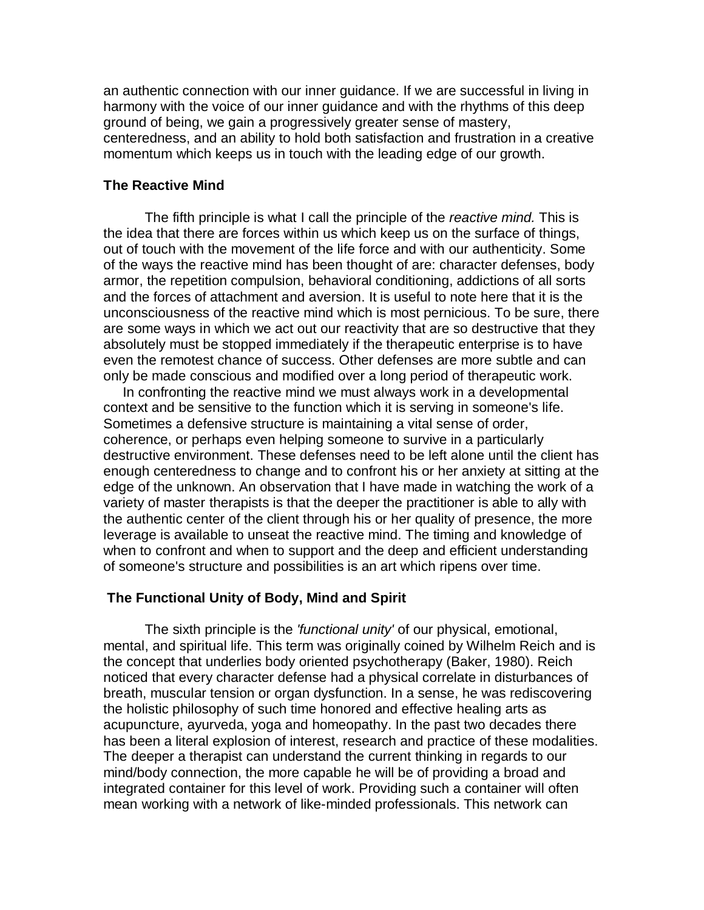an authentic connection with our inner guidance. If we are successful in living in harmony with the voice of our inner guidance and with the rhythms of this deep ground of being, we gain a progressively greater sense of mastery, centeredness, and an ability to hold both satisfaction and frustration in a creative momentum which keeps us in touch with the leading edge of our growth.

## **The Reactive Mind**

 The fifth principle is what I call the principle of the *reactive mind.* This is the idea that there are forces within us which keep us on the surface of things, out of touch with the movement of the life force and with our authenticity. Some of the ways the reactive mind has been thought of are: character defenses, body armor, the repetition compulsion, behavioral conditioning, addictions of all sorts and the forces of attachment and aversion. It is useful to note here that it is the unconsciousness of the reactive mind which is most pernicious. To be sure, there are some ways in which we act out our reactivity that are so destructive that they absolutely must be stopped immediately if the therapeutic enterprise is to have even the remotest chance of success. Other defenses are more subtle and can only be made conscious and modified over a long period of therapeutic work.

 In confronting the reactive mind we must always work in a developmental context and be sensitive to the function which it is serving in someone's life. Sometimes a defensive structure is maintaining a vital sense of order, coherence, or perhaps even helping someone to survive in a particularly destructive environment. These defenses need to be left alone until the client has enough centeredness to change and to confront his or her anxiety at sitting at the edge of the unknown. An observation that I have made in watching the work of a variety of master therapists is that the deeper the practitioner is able to ally with the authentic center of the client through his or her quality of presence, the more leverage is available to unseat the reactive mind. The timing and knowledge of when to confront and when to support and the deep and efficient understanding of someone's structure and possibilities is an art which ripens over time.

#### **The Functional Unity of Body, Mind and Spirit**

 The sixth principle is the *'functional unity'* of our physical, emotional, mental, and spiritual life. This term was originally coined by Wilhelm Reich and is the concept that underlies body oriented psychotherapy (Baker, 1980). Reich noticed that every character defense had a physical correlate in disturbances of breath, muscular tension or organ dysfunction. In a sense, he was rediscovering the holistic philosophy of such time honored and effective healing arts as acupuncture, ayurveda, yoga and homeopathy. In the past two decades there has been a literal explosion of interest, research and practice of these modalities. The deeper a therapist can understand the current thinking in regards to our mind/body connection, the more capable he will be of providing a broad and integrated container for this level of work. Providing such a container will often mean working with a network of like-minded professionals. This network can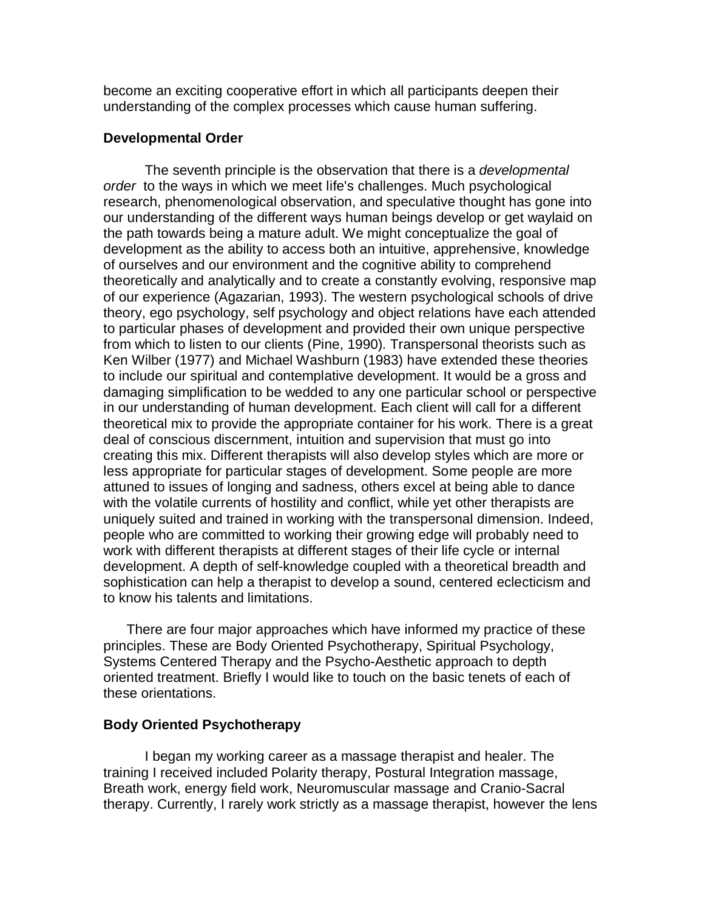become an exciting cooperative effort in which all participants deepen their understanding of the complex processes which cause human suffering.

## **Developmental Order**

 The seventh principle is the observation that there is a *developmental order* to the ways in which we meet life's challenges. Much psychological research, phenomenological observation, and speculative thought has gone into our understanding of the different ways human beings develop or get waylaid on the path towards being a mature adult. We might conceptualize the goal of development as the ability to access both an intuitive, apprehensive, knowledge of ourselves and our environment and the cognitive ability to comprehend theoretically and analytically and to create a constantly evolving, responsive map of our experience (Agazarian, 1993). The western psychological schools of drive theory, ego psychology, self psychology and object relations have each attended to particular phases of development and provided their own unique perspective from which to listen to our clients (Pine, 1990). Transpersonal theorists such as Ken Wilber (1977) and Michael Washburn (1983) have extended these theories to include our spiritual and contemplative development. It would be a gross and damaging simplification to be wedded to any one particular school or perspective in our understanding of human development. Each client will call for a different theoretical mix to provide the appropriate container for his work. There is a great deal of conscious discernment, intuition and supervision that must go into creating this mix. Different therapists will also develop styles which are more or less appropriate for particular stages of development. Some people are more attuned to issues of longing and sadness, others excel at being able to dance with the volatile currents of hostility and conflict, while yet other therapists are uniquely suited and trained in working with the transpersonal dimension. Indeed, people who are committed to working their growing edge will probably need to work with different therapists at different stages of their life cycle or internal development. A depth of self-knowledge coupled with a theoretical breadth and sophistication can help a therapist to develop a sound, centered eclecticism and to know his talents and limitations.

 There are four major approaches which have informed my practice of these principles. These are Body Oriented Psychotherapy, Spiritual Psychology, Systems Centered Therapy and the Psycho-Aesthetic approach to depth oriented treatment. Briefly I would like to touch on the basic tenets of each of these orientations.

## **Body Oriented Psychotherapy**

 I began my working career as a massage therapist and healer. The training I received included Polarity therapy, Postural Integration massage, Breath work, energy field work, Neuromuscular massage and Cranio-Sacral therapy. Currently, I rarely work strictly as a massage therapist, however the lens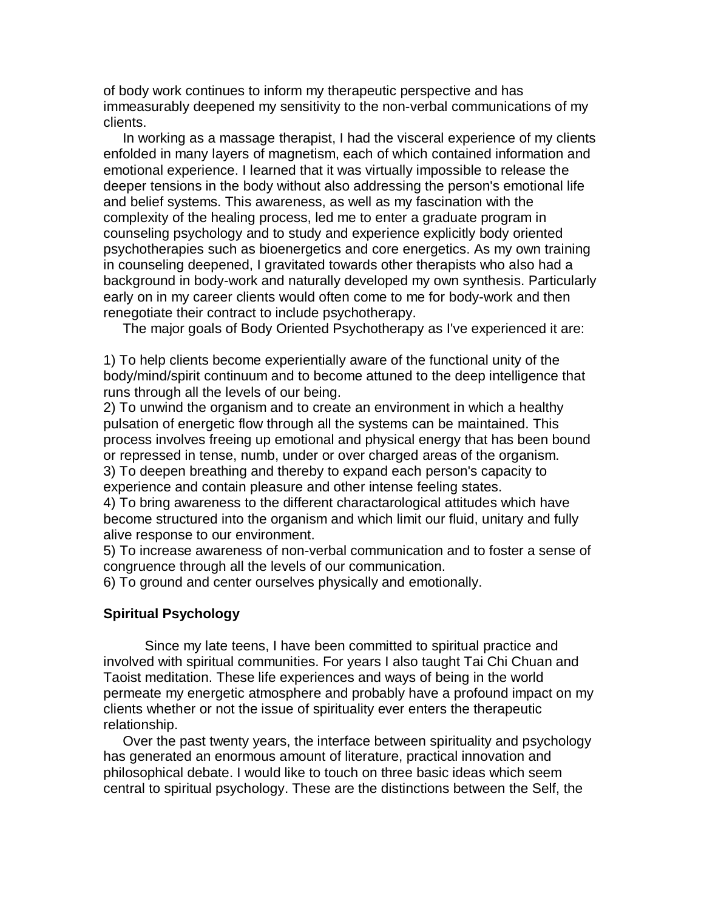of body work continues to inform my therapeutic perspective and has immeasurably deepened my sensitivity to the non-verbal communications of my clients.

 In working as a massage therapist, I had the visceral experience of my clients enfolded in many layers of magnetism, each of which contained information and emotional experience. I learned that it was virtually impossible to release the deeper tensions in the body without also addressing the person's emotional life and belief systems. This awareness, as well as my fascination with the complexity of the healing process, led me to enter a graduate program in counseling psychology and to study and experience explicitly body oriented psychotherapies such as bioenergetics and core energetics. As my own training in counseling deepened, I gravitated towards other therapists who also had a background in body-work and naturally developed my own synthesis. Particularly early on in my career clients would often come to me for body-work and then renegotiate their contract to include psychotherapy.

The major goals of Body Oriented Psychotherapy as I've experienced it are:

1) To help clients become experientially aware of the functional unity of the body/mind/spirit continuum and to become attuned to the deep intelligence that runs through all the levels of our being.

2) To unwind the organism and to create an environment in which a healthy pulsation of energetic flow through all the systems can be maintained. This process involves freeing up emotional and physical energy that has been bound or repressed in tense, numb, under or over charged areas of the organism. 3) To deepen breathing and thereby to expand each person's capacity to experience and contain pleasure and other intense feeling states.

4) To bring awareness to the different charactarological attitudes which have become structured into the organism and which limit our fluid, unitary and fully alive response to our environment.

5) To increase awareness of non-verbal communication and to foster a sense of congruence through all the levels of our communication.

6) To ground and center ourselves physically and emotionally.

## **Spiritual Psychology**

 Since my late teens, I have been committed to spiritual practice and involved with spiritual communities. For years I also taught Tai Chi Chuan and Taoist meditation. These life experiences and ways of being in the world permeate my energetic atmosphere and probably have a profound impact on my clients whether or not the issue of spirituality ever enters the therapeutic relationship.

 Over the past twenty years, the interface between spirituality and psychology has generated an enormous amount of literature, practical innovation and philosophical debate. I would like to touch on three basic ideas which seem central to spiritual psychology. These are the distinctions between the Self, the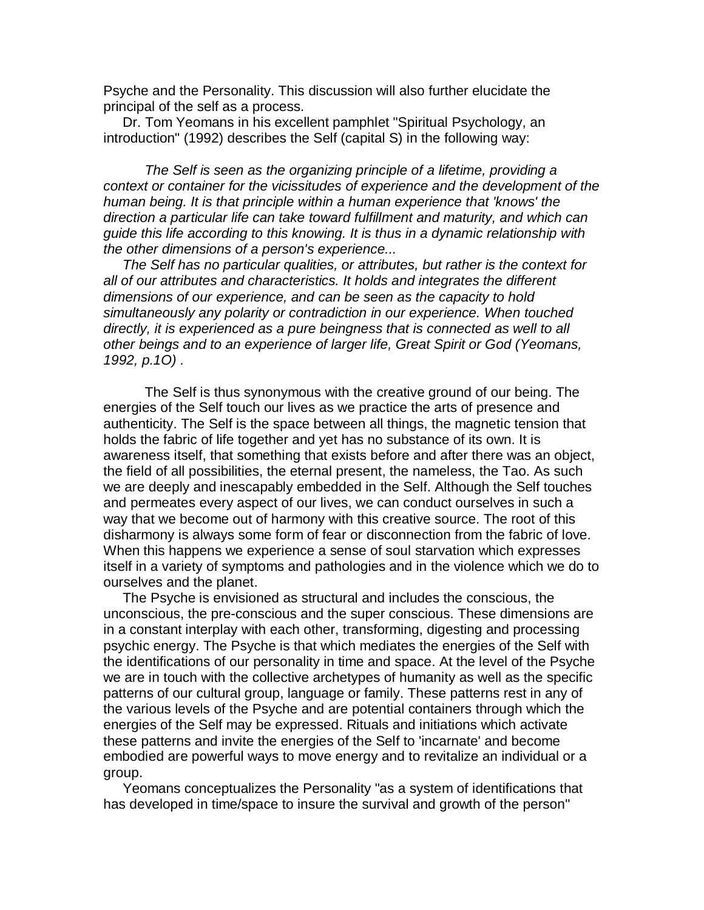Psyche and the Personality. This discussion will also further elucidate the principal of the self as a process.

 Dr. Tom Yeomans in his excellent pamphlet "Spiritual Psychology, an introduction" (1992) describes the Self (capital S) in the following way:

*The Self is seen as the organizing principle of a lifetime, providing a context or container for the vicissitudes of experience and the development of the human being. It is that principle within a human experience that 'knows' the direction a particular life can take toward fulfillment and maturity, and which can guide this life according to this knowing. It is thus in a dynamic relationship with the other dimensions of a person's experience...*

 *The Self has no particular qualities, or attributes, but rather is the context for all of our attributes and characteristics. It holds and integrates the different dimensions of our experience, and can be seen as the capacity to hold simultaneously any polarity or contradiction in our experience. When touched directly, it is experienced as a pure beingness that is connected as well to all other beings and to an experience of larger life, Great Spirit or God (Yeomans, 1992, p.1O) .*

 The Self is thus synonymous with the creative ground of our being. The energies of the Self touch our lives as we practice the arts of presence and authenticity. The Self is the space between all things, the magnetic tension that holds the fabric of life together and yet has no substance of its own. It is awareness itself, that something that exists before and after there was an object, the field of all possibilities, the eternal present, the nameless, the Tao. As such we are deeply and inescapably embedded in the Self. Although the Self touches and permeates every aspect of our lives, we can conduct ourselves in such a way that we become out of harmony with this creative source. The root of this disharmony is always some form of fear or disconnection from the fabric of love. When this happens we experience a sense of soul starvation which expresses itself in a variety of symptoms and pathologies and in the violence which we do to ourselves and the planet.

 The Psyche is envisioned as structural and includes the conscious, the unconscious, the pre-conscious and the super conscious. These dimensions are in a constant interplay with each other, transforming, digesting and processing psychic energy. The Psyche is that which mediates the energies of the Self with the identifications of our personality in time and space. At the level of the Psyche we are in touch with the collective archetypes of humanity as well as the specific patterns of our cultural group, language or family. These patterns rest in any of the various levels of the Psyche and are potential containers through which the energies of the Self may be expressed. Rituals and initiations which activate these patterns and invite the energies of the Self to 'incarnate' and become embodied are powerful ways to move energy and to revitalize an individual or a group.

 Yeomans conceptualizes the Personality "as a system of identifications that has developed in time/space to insure the survival and growth of the person"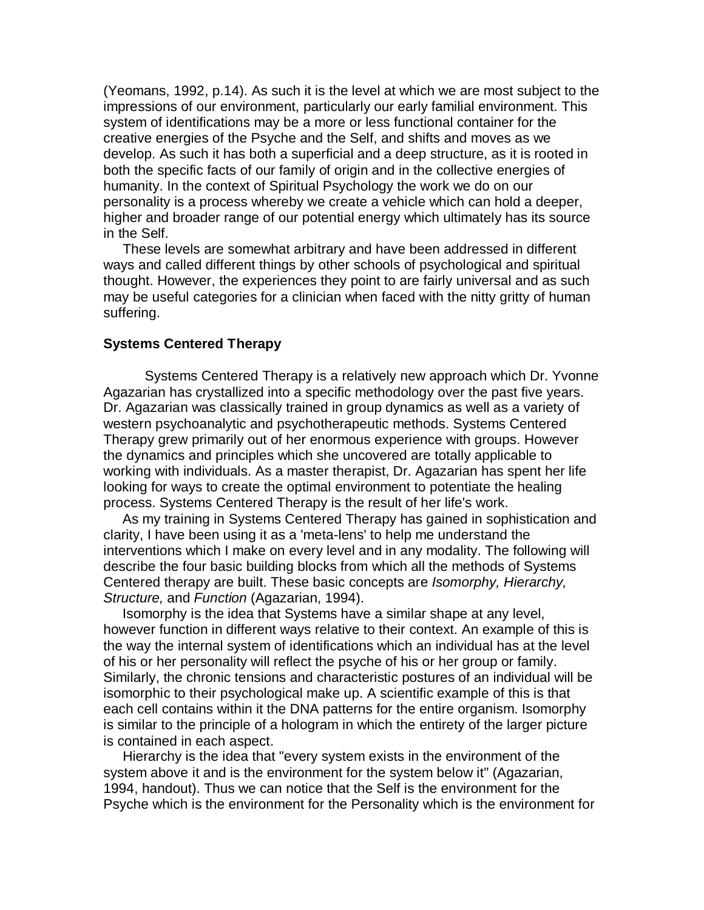(Yeomans, 1992, p.14). As such it is the level at which we are most subject to the impressions of our environment, particularly our early familial environment. This system of identifications may be a more or less functional container for the creative energies of the Psyche and the Self, and shifts and moves as we develop. As such it has both a superficial and a deep structure, as it is rooted in both the specific facts of our family of origin and in the collective energies of humanity. In the context of Spiritual Psychology the work we do on our personality is a process whereby we create a vehicle which can hold a deeper, higher and broader range of our potential energy which ultimately has its source in the Self.

 These levels are somewhat arbitrary and have been addressed in different ways and called different things by other schools of psychological and spiritual thought. However, the experiences they point to are fairly universal and as such may be useful categories for a clinician when faced with the nitty gritty of human suffering.

#### **Systems Centered Therapy**

 Systems Centered Therapy is a relatively new approach which Dr. Yvonne Agazarian has crystallized into a specific methodology over the past five years. Dr. Agazarian was classically trained in group dynamics as well as a variety of western psychoanalytic and psychotherapeutic methods. Systems Centered Therapy grew primarily out of her enormous experience with groups. However the dynamics and principles which she uncovered are totally applicable to working with individuals. As a master therapist, Dr. Agazarian has spent her life looking for ways to create the optimal environment to potentiate the healing process. Systems Centered Therapy is the result of her life's work.

 As my training in Systems Centered Therapy has gained in sophistication and clarity, I have been using it as a 'meta-lens' to help me understand the interventions which I make on every level and in any modality. The following will describe the four basic building blocks from which all the methods of Systems Centered therapy are built. These basic concepts are *Isomorphy, Hierarchy, Structure,* and *Function* (Agazarian, 1994).

 Isomorphy is the idea that Systems have a similar shape at any level, however function in different ways relative to their context. An example of this is the way the internal system of identifications which an individual has at the level of his or her personality will reflect the psyche of his or her group or family. Similarly, the chronic tensions and characteristic postures of an individual will be isomorphic to their psychological make up. A scientific example of this is that each cell contains within it the DNA patterns for the entire organism. Isomorphy is similar to the principle of a hologram in which the entirety of the larger picture is contained in each aspect.

 Hierarchy is the idea that "every system exists in the environment of the system above it and is the environment for the system below it" (Agazarian, 1994, handout). Thus we can notice that the Self is the environment for the Psyche which is the environment for the Personality which is the environment for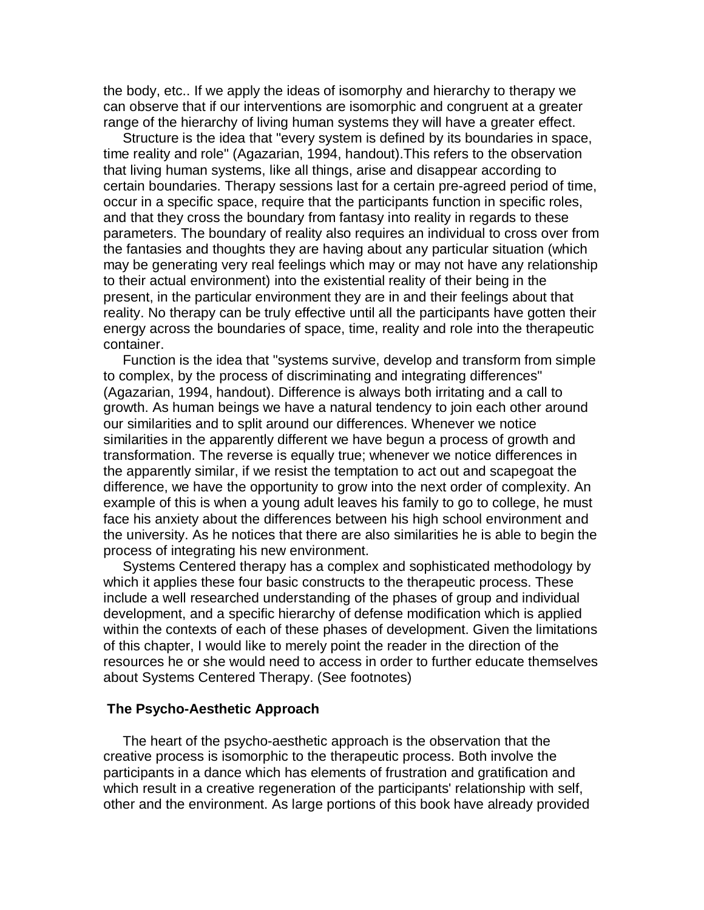the body, etc.. If we apply the ideas of isomorphy and hierarchy to therapy we can observe that if our interventions are isomorphic and congruent at a greater range of the hierarchy of living human systems they will have a greater effect.

 Structure is the idea that "every system is defined by its boundaries in space, time reality and role" (Agazarian, 1994, handout).This refers to the observation that living human systems, like all things, arise and disappear according to certain boundaries. Therapy sessions last for a certain pre-agreed period of time, occur in a specific space, require that the participants function in specific roles, and that they cross the boundary from fantasy into reality in regards to these parameters. The boundary of reality also requires an individual to cross over from the fantasies and thoughts they are having about any particular situation (which may be generating very real feelings which may or may not have any relationship to their actual environment) into the existential reality of their being in the present, in the particular environment they are in and their feelings about that reality. No therapy can be truly effective until all the participants have gotten their energy across the boundaries of space, time, reality and role into the therapeutic container.

 Function is the idea that "systems survive, develop and transform from simple to complex, by the process of discriminating and integrating differences" (Agazarian, 1994, handout). Difference is always both irritating and a call to growth. As human beings we have a natural tendency to join each other around our similarities and to split around our differences. Whenever we notice similarities in the apparently different we have begun a process of growth and transformation. The reverse is equally true; whenever we notice differences in the apparently similar, if we resist the temptation to act out and scapegoat the difference, we have the opportunity to grow into the next order of complexity. An example of this is when a young adult leaves his family to go to college, he must face his anxiety about the differences between his high school environment and the university. As he notices that there are also similarities he is able to begin the process of integrating his new environment.

 Systems Centered therapy has a complex and sophisticated methodology by which it applies these four basic constructs to the therapeutic process. These include a well researched understanding of the phases of group and individual development, and a specific hierarchy of defense modification which is applied within the contexts of each of these phases of development. Given the limitations of this chapter, I would like to merely point the reader in the direction of the resources he or she would need to access in order to further educate themselves about Systems Centered Therapy. (See footnotes)

### **The Psycho-Aesthetic Approach**

 The heart of the psycho-aesthetic approach is the observation that the creative process is isomorphic to the therapeutic process. Both involve the participants in a dance which has elements of frustration and gratification and which result in a creative regeneration of the participants' relationship with self, other and the environment. As large portions of this book have already provided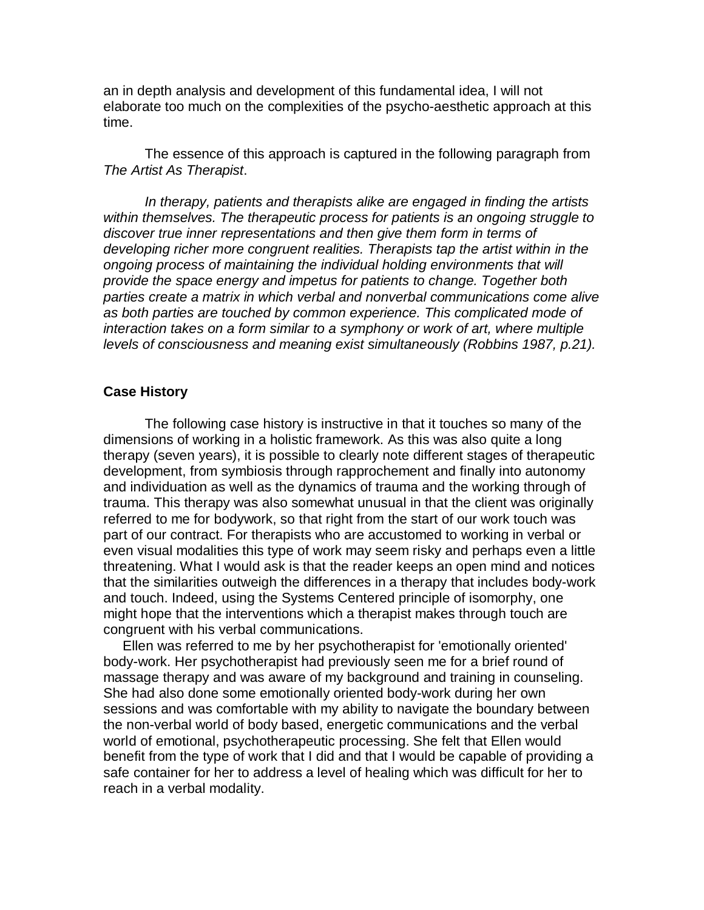an in depth analysis and development of this fundamental idea, I will not elaborate too much on the complexities of the psycho-aesthetic approach at this time.

 The essence of this approach is captured in the following paragraph from *The Artist As Therapist*.

*In therapy, patients and therapists alike are engaged in finding the artists within themselves. The therapeutic process for patients is an ongoing struggle to discover true inner representations and then give them form in terms of developing richer more congruent realities. Therapists tap the artist within in the ongoing process of maintaining the individual holding environments that will provide the space energy and impetus for patients to change. Together both parties create a matrix in which verbal and nonverbal communications come alive as both parties are touched by common experience. This complicated mode of interaction takes on a form similar to a symphony or work of art, where multiple levels of consciousness and meaning exist simultaneously (Robbins 1987, p.21).*

## **Case History**

 The following case history is instructive in that it touches so many of the dimensions of working in a holistic framework. As this was also quite a long therapy (seven years), it is possible to clearly note different stages of therapeutic development, from symbiosis through rapprochement and finally into autonomy and individuation as well as the dynamics of trauma and the working through of trauma. This therapy was also somewhat unusual in that the client was originally referred to me for bodywork, so that right from the start of our work touch was part of our contract. For therapists who are accustomed to working in verbal or even visual modalities this type of work may seem risky and perhaps even a little threatening. What I would ask is that the reader keeps an open mind and notices that the similarities outweigh the differences in a therapy that includes body-work and touch. Indeed, using the Systems Centered principle of isomorphy, one might hope that the interventions which a therapist makes through touch are congruent with his verbal communications.

 Ellen was referred to me by her psychotherapist for 'emotionally oriented' body-work. Her psychotherapist had previously seen me for a brief round of massage therapy and was aware of my background and training in counseling. She had also done some emotionally oriented body-work during her own sessions and was comfortable with my ability to navigate the boundary between the non-verbal world of body based, energetic communications and the verbal world of emotional, psychotherapeutic processing. She felt that Ellen would benefit from the type of work that I did and that I would be capable of providing a safe container for her to address a level of healing which was difficult for her to reach in a verbal modality.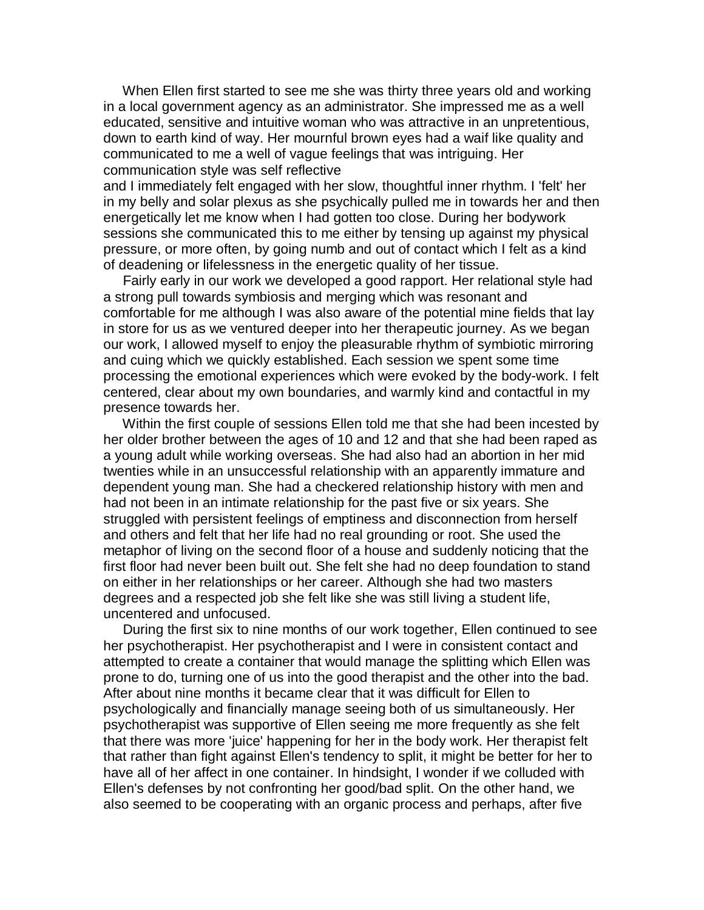When Ellen first started to see me she was thirty three years old and working in a local government agency as an administrator. She impressed me as a well educated, sensitive and intuitive woman who was attractive in an unpretentious, down to earth kind of way. Her mournful brown eyes had a waif like quality and communicated to me a well of vague feelings that was intriguing. Her communication style was self reflective

and I immediately felt engaged with her slow, thoughtful inner rhythm. I 'felt' her in my belly and solar plexus as she psychically pulled me in towards her and then energetically let me know when I had gotten too close. During her bodywork sessions she communicated this to me either by tensing up against my physical pressure, or more often, by going numb and out of contact which I felt as a kind of deadening or lifelessness in the energetic quality of her tissue.

 Fairly early in our work we developed a good rapport. Her relational style had a strong pull towards symbiosis and merging which was resonant and comfortable for me although I was also aware of the potential mine fields that lay in store for us as we ventured deeper into her therapeutic journey. As we began our work, I allowed myself to enjoy the pleasurable rhythm of symbiotic mirroring and cuing which we quickly established. Each session we spent some time processing the emotional experiences which were evoked by the body-work. I felt centered, clear about my own boundaries, and warmly kind and contactful in my presence towards her.

 Within the first couple of sessions Ellen told me that she had been incested by her older brother between the ages of 10 and 12 and that she had been raped as a young adult while working overseas. She had also had an abortion in her mid twenties while in an unsuccessful relationship with an apparently immature and dependent young man. She had a checkered relationship history with men and had not been in an intimate relationship for the past five or six years. She struggled with persistent feelings of emptiness and disconnection from herself and others and felt that her life had no real grounding or root. She used the metaphor of living on the second floor of a house and suddenly noticing that the first floor had never been built out. She felt she had no deep foundation to stand on either in her relationships or her career. Although she had two masters degrees and a respected job she felt like she was still living a student life, uncentered and unfocused.

 During the first six to nine months of our work together, Ellen continued to see her psychotherapist. Her psychotherapist and I were in consistent contact and attempted to create a container that would manage the splitting which Ellen was prone to do, turning one of us into the good therapist and the other into the bad. After about nine months it became clear that it was difficult for Ellen to psychologically and financially manage seeing both of us simultaneously. Her psychotherapist was supportive of Ellen seeing me more frequently as she felt that there was more 'juice' happening for her in the body work. Her therapist felt that rather than fight against Ellen's tendency to split, it might be better for her to have all of her affect in one container. In hindsight, I wonder if we colluded with Ellen's defenses by not confronting her good/bad split. On the other hand, we also seemed to be cooperating with an organic process and perhaps, after five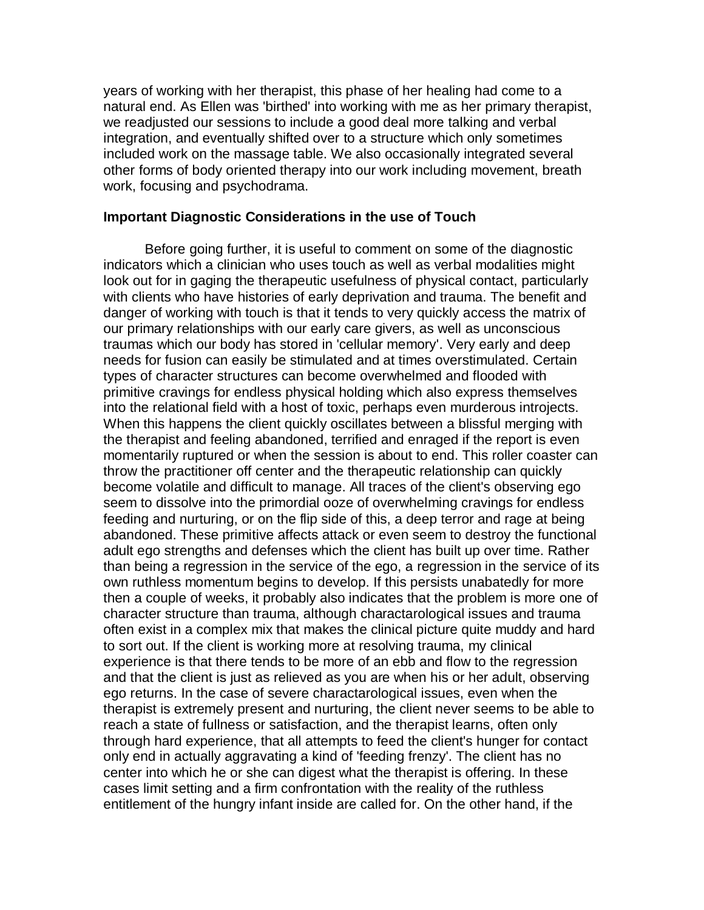years of working with her therapist, this phase of her healing had come to a natural end. As Ellen was 'birthed' into working with me as her primary therapist, we readjusted our sessions to include a good deal more talking and verbal integration, and eventually shifted over to a structure which only sometimes included work on the massage table. We also occasionally integrated several other forms of body oriented therapy into our work including movement, breath work, focusing and psychodrama.

## **Important Diagnostic Considerations in the use of Touch**

 Before going further, it is useful to comment on some of the diagnostic indicators which a clinician who uses touch as well as verbal modalities might look out for in gaging the therapeutic usefulness of physical contact, particularly with clients who have histories of early deprivation and trauma. The benefit and danger of working with touch is that it tends to very quickly access the matrix of our primary relationships with our early care givers, as well as unconscious traumas which our body has stored in 'cellular memory'. Very early and deep needs for fusion can easily be stimulated and at times overstimulated. Certain types of character structures can become overwhelmed and flooded with primitive cravings for endless physical holding which also express themselves into the relational field with a host of toxic, perhaps even murderous introjects. When this happens the client quickly oscillates between a blissful merging with the therapist and feeling abandoned, terrified and enraged if the report is even momentarily ruptured or when the session is about to end. This roller coaster can throw the practitioner off center and the therapeutic relationship can quickly become volatile and difficult to manage. All traces of the client's observing ego seem to dissolve into the primordial ooze of overwhelming cravings for endless feeding and nurturing, or on the flip side of this, a deep terror and rage at being abandoned. These primitive affects attack or even seem to destroy the functional adult ego strengths and defenses which the client has built up over time. Rather than being a regression in the service of the ego, a regression in the service of its own ruthless momentum begins to develop. If this persists unabatedly for more then a couple of weeks, it probably also indicates that the problem is more one of character structure than trauma, although charactarological issues and trauma often exist in a complex mix that makes the clinical picture quite muddy and hard to sort out. If the client is working more at resolving trauma, my clinical experience is that there tends to be more of an ebb and flow to the regression and that the client is just as relieved as you are when his or her adult, observing ego returns. In the case of severe charactarological issues, even when the therapist is extremely present and nurturing, the client never seems to be able to reach a state of fullness or satisfaction, and the therapist learns, often only through hard experience, that all attempts to feed the client's hunger for contact only end in actually aggravating a kind of 'feeding frenzy'. The client has no center into which he or she can digest what the therapist is offering. In these cases limit setting and a firm confrontation with the reality of the ruthless entitlement of the hungry infant inside are called for. On the other hand, if the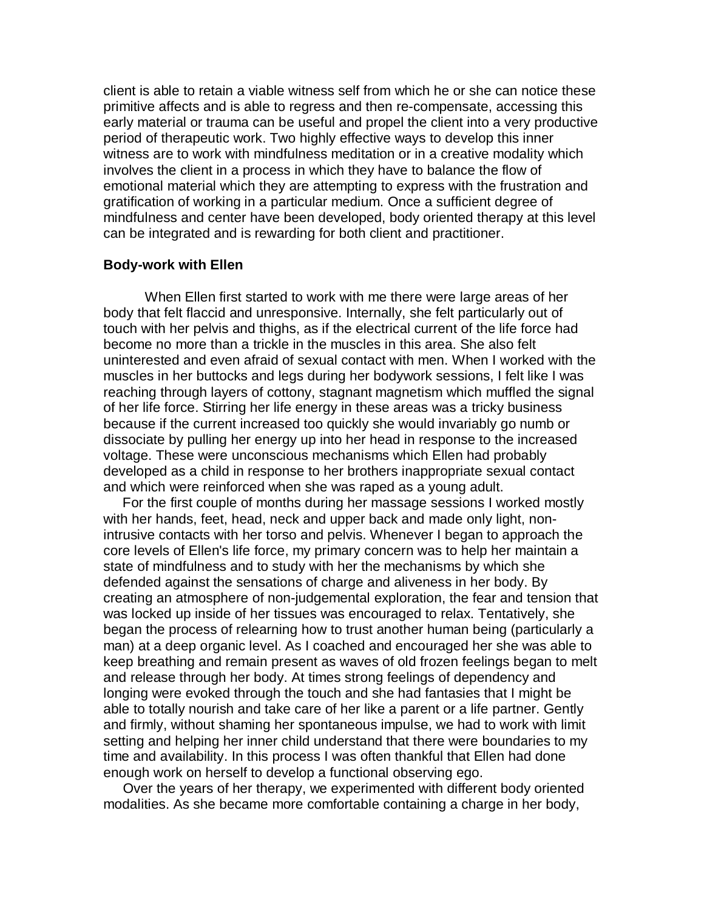client is able to retain a viable witness self from which he or she can notice these primitive affects and is able to regress and then re-compensate, accessing this early material or trauma can be useful and propel the client into a very productive period of therapeutic work. Two highly effective ways to develop this inner witness are to work with mindfulness meditation or in a creative modality which involves the client in a process in which they have to balance the flow of emotional material which they are attempting to express with the frustration and gratification of working in a particular medium. Once a sufficient degree of mindfulness and center have been developed, body oriented therapy at this level can be integrated and is rewarding for both client and practitioner.

## **Body-work with Ellen**

 When Ellen first started to work with me there were large areas of her body that felt flaccid and unresponsive. Internally, she felt particularly out of touch with her pelvis and thighs, as if the electrical current of the life force had become no more than a trickle in the muscles in this area. She also felt uninterested and even afraid of sexual contact with men. When I worked with the muscles in her buttocks and legs during her bodywork sessions, I felt like I was reaching through layers of cottony, stagnant magnetism which muffled the signal of her life force. Stirring her life energy in these areas was a tricky business because if the current increased too quickly she would invariably go numb or dissociate by pulling her energy up into her head in response to the increased voltage. These were unconscious mechanisms which Ellen had probably developed as a child in response to her brothers inappropriate sexual contact and which were reinforced when she was raped as a young adult.

 For the first couple of months during her massage sessions I worked mostly with her hands, feet, head, neck and upper back and made only light, nonintrusive contacts with her torso and pelvis. Whenever I began to approach the core levels of Ellen's life force, my primary concern was to help her maintain a state of mindfulness and to study with her the mechanisms by which she defended against the sensations of charge and aliveness in her body. By creating an atmosphere of non-judgemental exploration, the fear and tension that was locked up inside of her tissues was encouraged to relax. Tentatively, she began the process of relearning how to trust another human being (particularly a man) at a deep organic level. As I coached and encouraged her she was able to keep breathing and remain present as waves of old frozen feelings began to melt and release through her body. At times strong feelings of dependency and longing were evoked through the touch and she had fantasies that I might be able to totally nourish and take care of her like a parent or a life partner. Gently and firmly, without shaming her spontaneous impulse, we had to work with limit setting and helping her inner child understand that there were boundaries to my time and availability. In this process I was often thankful that Ellen had done enough work on herself to develop a functional observing ego.

 Over the years of her therapy, we experimented with different body oriented modalities. As she became more comfortable containing a charge in her body,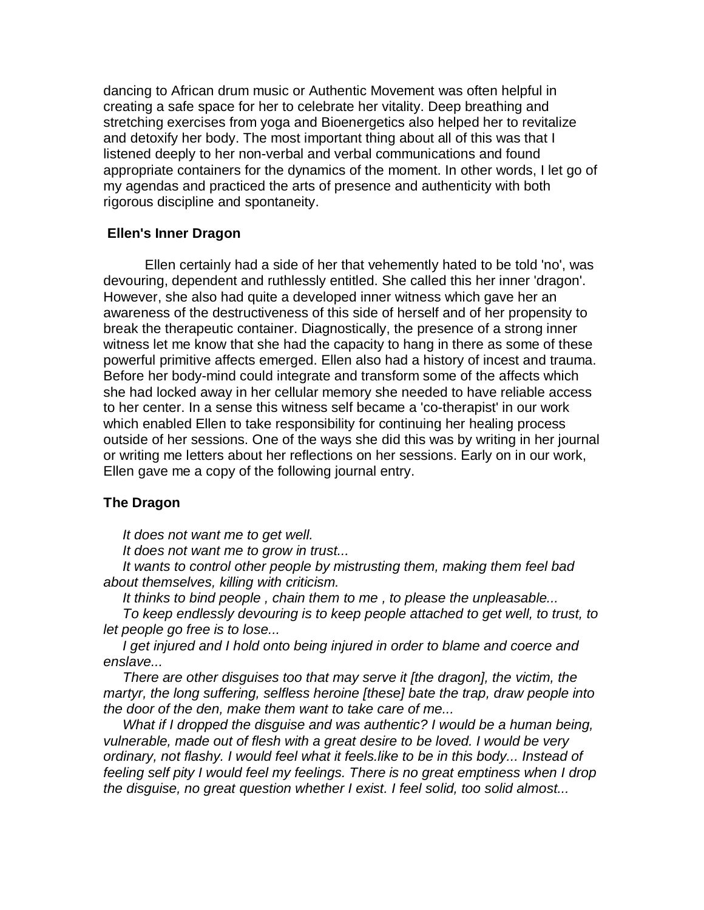dancing to African drum music or Authentic Movement was often helpful in creating a safe space for her to celebrate her vitality. Deep breathing and stretching exercises from yoga and Bioenergetics also helped her to revitalize and detoxify her body. The most important thing about all of this was that I listened deeply to her non-verbal and verbal communications and found appropriate containers for the dynamics of the moment. In other words, I let go of my agendas and practiced the arts of presence and authenticity with both rigorous discipline and spontaneity.

### **Ellen's Inner Dragon**

 Ellen certainly had a side of her that vehemently hated to be told 'no', was devouring, dependent and ruthlessly entitled. She called this her inner 'dragon'. However, she also had quite a developed inner witness which gave her an awareness of the destructiveness of this side of herself and of her propensity to break the therapeutic container. Diagnostically, the presence of a strong inner witness let me know that she had the capacity to hang in there as some of these powerful primitive affects emerged. Ellen also had a history of incest and trauma. Before her body-mind could integrate and transform some of the affects which she had locked away in her cellular memory she needed to have reliable access to her center. In a sense this witness self became a 'co-therapist' in our work which enabled Ellen to take responsibility for continuing her healing process outside of her sessions. One of the ways she did this was by writing in her journal or writing me letters about her reflections on her sessions. Early on in our work, Ellen gave me a copy of the following journal entry.

#### **The Dragon**

 *It does not want me to get well.*

 *It does not want me to grow in trust...*

 *It wants to control other people by mistrusting them, making them feel bad about themselves, killing with criticism.*

 *It thinks to bind people , chain them to me , to please the unpleasable...*

 *To keep endlessly devouring is to keep people attached to get well, to trust, to let people go free is to lose...*

 *I get injured and I hold onto being injured in order to blame and coerce and enslave...*

 *There are other disguises too that may serve it [the dragon], the victim, the martyr, the long suffering, selfless heroine [these] bate the trap, draw people into the door of the den, make them want to take care of me...*

 *What if I dropped the disguise and was authentic? I would be a human being, vulnerable, made out of flesh with a great desire to be loved. I would be very ordinary, not flashy. I would feel what it feels.like to be in this body... Instead of feeling self pity I would feel my feelings. There is no great emptiness when I drop the disguise, no great question whether I exist. I feel solid, too solid almost...*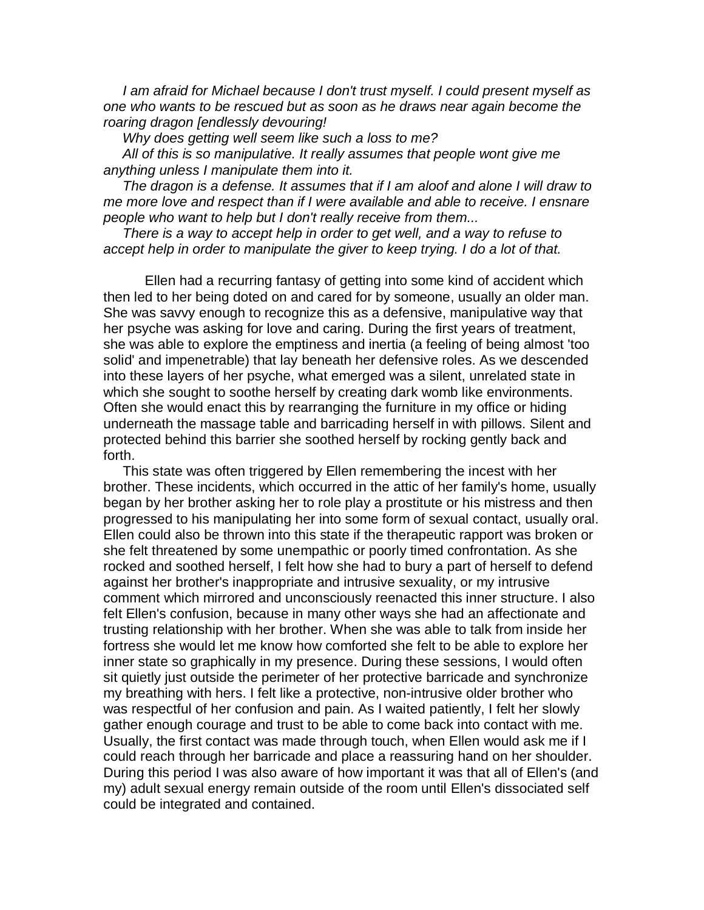*I am afraid for Michael because I don't trust myself. I could present myself as one who wants to be rescued but as soon as he draws near again become the roaring dragon [endlessly devouring!*

 *Why does getting well seem like such a loss to me?*

 *All of this is so manipulative. It really assumes that people wont give me anything unless I manipulate them into it.*

 *The dragon is a defense. It assumes that if I am aloof and alone I will draw to me more love and respect than if I were available and able to receive. I ensnare people who want to help but I don't really receive from them...*

 *There is a way to accept help in order to get well, and a way to refuse to accept help in order to manipulate the giver to keep trying. I do a lot of that.*

 Ellen had a recurring fantasy of getting into some kind of accident which then led to her being doted on and cared for by someone, usually an older man. She was savvy enough to recognize this as a defensive, manipulative way that her psyche was asking for love and caring. During the first years of treatment, she was able to explore the emptiness and inertia (a feeling of being almost 'too solid' and impenetrable) that lay beneath her defensive roles. As we descended into these layers of her psyche, what emerged was a silent, unrelated state in which she sought to soothe herself by creating dark womb like environments. Often she would enact this by rearranging the furniture in my office or hiding underneath the massage table and barricading herself in with pillows. Silent and protected behind this barrier she soothed herself by rocking gently back and forth.

 This state was often triggered by Ellen remembering the incest with her brother. These incidents, which occurred in the attic of her family's home, usually began by her brother asking her to role play a prostitute or his mistress and then progressed to his manipulating her into some form of sexual contact, usually oral. Ellen could also be thrown into this state if the therapeutic rapport was broken or she felt threatened by some unempathic or poorly timed confrontation. As she rocked and soothed herself, I felt how she had to bury a part of herself to defend against her brother's inappropriate and intrusive sexuality, or my intrusive comment which mirrored and unconsciously reenacted this inner structure. I also felt Ellen's confusion, because in many other ways she had an affectionate and trusting relationship with her brother. When she was able to talk from inside her fortress she would let me know how comforted she felt to be able to explore her inner state so graphically in my presence. During these sessions, I would often sit quietly just outside the perimeter of her protective barricade and synchronize my breathing with hers. I felt like a protective, non-intrusive older brother who was respectful of her confusion and pain. As I waited patiently, I felt her slowly gather enough courage and trust to be able to come back into contact with me. Usually, the first contact was made through touch, when Ellen would ask me if I could reach through her barricade and place a reassuring hand on her shoulder. During this period I was also aware of how important it was that all of Ellen's (and my) adult sexual energy remain outside of the room until Ellen's dissociated self could be integrated and contained.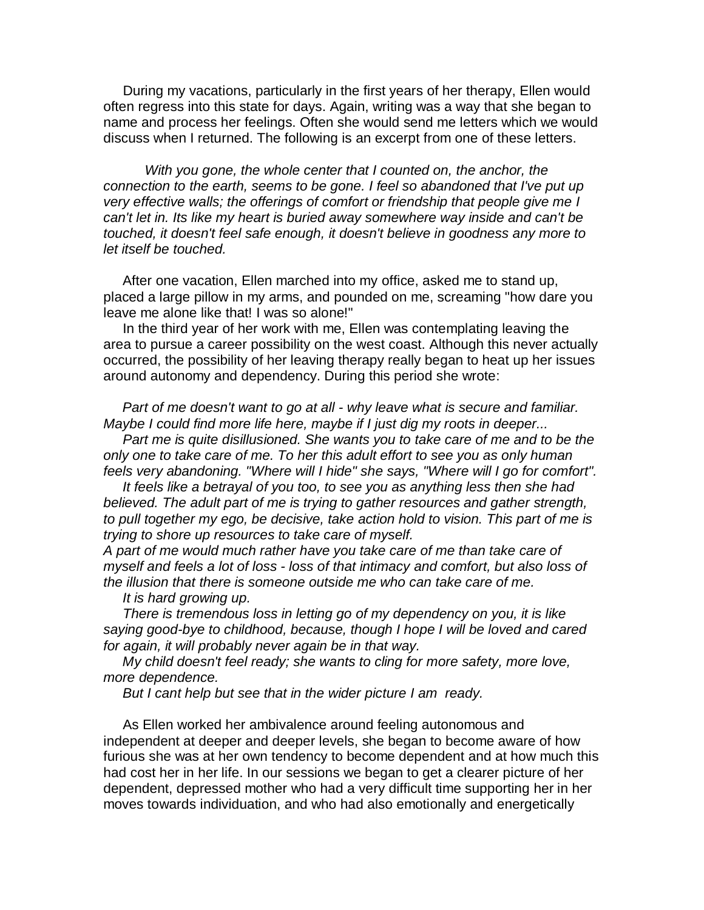During my vacations, particularly in the first years of her therapy, Ellen would often regress into this state for days. Again, writing was a way that she began to name and process her feelings. Often she would send me letters which we would discuss when I returned. The following is an excerpt from one of these letters.

*With you gone, the whole center that I counted on, the anchor, the connection to the earth, seems to be gone. I feel so abandoned that I've put up very effective walls; the offerings of comfort or friendship that people give me I can't let in. Its like my heart is buried away somewhere way inside and can't be touched, it doesn't feel safe enough, it doesn't believe in goodness any more to let itself be touched.*

 After one vacation, Ellen marched into my office, asked me to stand up, placed a large pillow in my arms, and pounded on me, screaming "how dare you leave me alone like that! I was so alone!"

 In the third year of her work with me, Ellen was contemplating leaving the area to pursue a career possibility on the west coast. Although this never actually occurred, the possibility of her leaving therapy really began to heat up her issues around autonomy and dependency. During this period she wrote:

 *Part of me doesn't want to go at all - why leave what is secure and familiar. Maybe I could find more life here, maybe if I just dig my roots in deeper...*

 *Part me is quite disillusioned. She wants you to take care of me and to be the only one to take care of me. To her this adult effort to see you as only human feels very abandoning. "Where will I hide" she says, "Where will I go for comfort".*

 *It feels like a betrayal of you too, to see you as anything less then she had believed. The adult part of me is trying to gather resources and gather strength, to pull together my ego, be decisive, take action hold to vision. This part of me is trying to shore up resources to take care of myself.*

*A part of me would much rather have you take care of me than take care of myself and feels a lot of loss - loss of that intimacy and comfort, but also loss of the illusion that there is someone outside me who can take care of me.*

 *It is hard growing up.*

 *There is tremendous loss in letting go of my dependency on you, it is like saying good-bye to childhood, because, though I hope I will be loved and cared for again, it will probably never again be in that way.*

 *My child doesn't feel ready; she wants to cling for more safety, more love, more dependence.*

 *But I cant help but see that in the wider picture I am ready.*

 As Ellen worked her ambivalence around feeling autonomous and independent at deeper and deeper levels, she began to become aware of how furious she was at her own tendency to become dependent and at how much this had cost her in her life. In our sessions we began to get a clearer picture of her dependent, depressed mother who had a very difficult time supporting her in her moves towards individuation, and who had also emotionally and energetically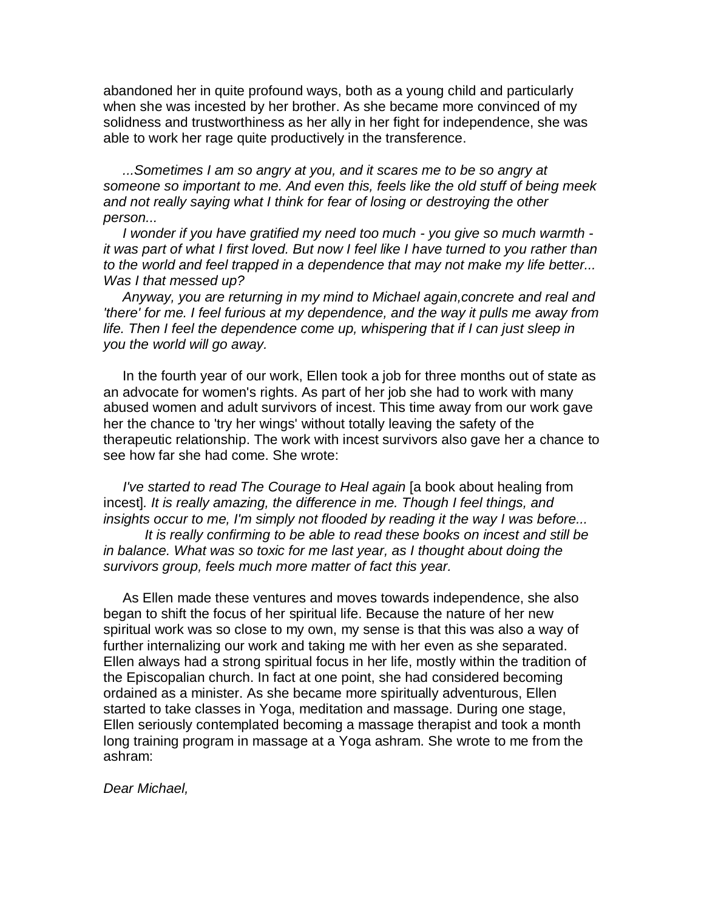abandoned her in quite profound ways, both as a young child and particularly when she was incested by her brother. As she became more convinced of my solidness and trustworthiness as her ally in her fight for independence, she was able to work her rage quite productively in the transference.

 *...Sometimes I am so angry at you, and it scares me to be so angry at someone so important to me. And even this, feels like the old stuff of being meek and not really saying what I think for fear of losing or destroying the other person...*

 *I wonder if you have gratified my need too much - you give so much warmth it was part of what I first loved. But now I feel like I have turned to you rather than to the world and feel trapped in a dependence that may not make my life better... Was I that messed up?*

 *Anyway, you are returning in my mind to Michael again,concrete and real and 'there' for me. I feel furious at my dependence, and the way it pulls me away from life. Then I feel the dependence come up, whispering that if I can just sleep in you the world will go away.*

 In the fourth year of our work, Ellen took a job for three months out of state as an advocate for women's rights. As part of her job she had to work with many abused women and adult survivors of incest. This time away from our work gave her the chance to 'try her wings' without totally leaving the safety of the therapeutic relationship. The work with incest survivors also gave her a chance to see how far she had come. She wrote:

*I've started to read The Courage to Heal again* [a book about healing from incest]*. It is really amazing, the difference in me. Though I feel things, and insights occur to me, I'm simply not flooded by reading it the way I was before...*

 *It is really confirming to be able to read these books on incest and still be in balance. What was so toxic for me last year, as I thought about doing the survivors group, feels much more matter of fact this year.*

 As Ellen made these ventures and moves towards independence, she also began to shift the focus of her spiritual life. Because the nature of her new spiritual work was so close to my own, my sense is that this was also a way of further internalizing our work and taking me with her even as she separated. Ellen always had a strong spiritual focus in her life, mostly within the tradition of the Episcopalian church. In fact at one point, she had considered becoming ordained as a minister. As she became more spiritually adventurous, Ellen started to take classes in Yoga, meditation and massage. During one stage, Ellen seriously contemplated becoming a massage therapist and took a month long training program in massage at a Yoga ashram. She wrote to me from the ashram:

*Dear Michael,*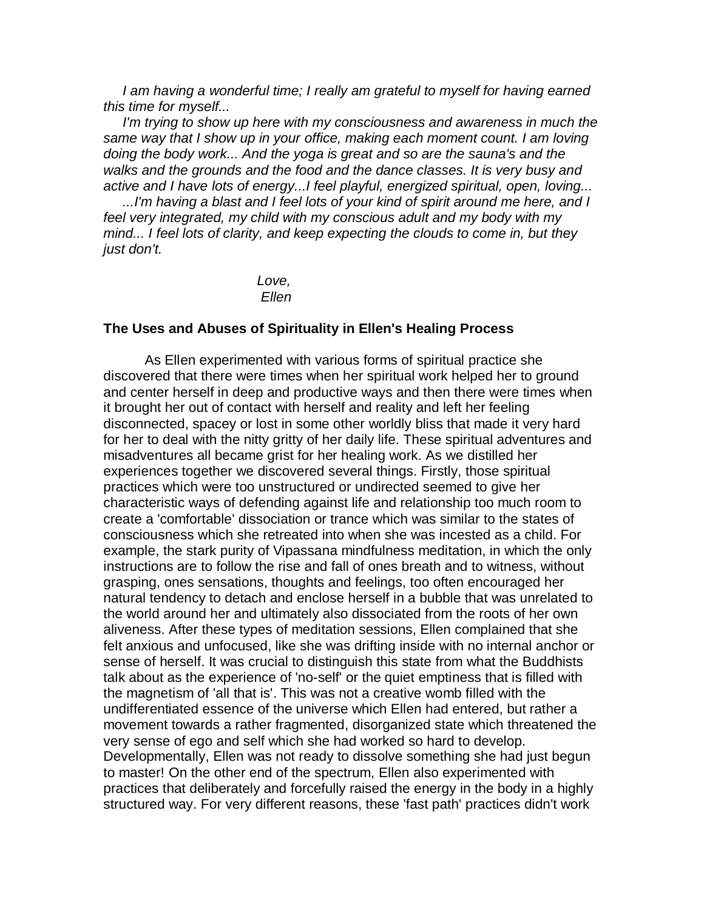*I am having a wonderful time; I really am grateful to myself for having earned this time for myself...*

 *I'm trying to show up here with my consciousness and awareness in much the same way that I show up in your office, making each moment count. I am loving doing the body work... And the yoga is great and so are the sauna's and the walks and the grounds and the food and the dance classes. It is very busy and active and I have lots of energy...I feel playful, energized spiritual, open, loving...*

 *...I'm having a blast and I feel lots of your kind of spirit around me here, and I feel very integrated, my child with my conscious adult and my body with my mind... I feel lots of clarity, and keep expecting the clouds to come in, but they just don't.*

> *Love, Ellen*

## **The Uses and Abuses of Spirituality in Ellen's Healing Process**

 As Ellen experimented with various forms of spiritual practice she discovered that there were times when her spiritual work helped her to ground and center herself in deep and productive ways and then there were times when it brought her out of contact with herself and reality and left her feeling disconnected, spacey or lost in some other worldly bliss that made it very hard for her to deal with the nitty gritty of her daily life. These spiritual adventures and misadventures all became grist for her healing work. As we distilled her experiences together we discovered several things. Firstly, those spiritual practices which were too unstructured or undirected seemed to give her characteristic ways of defending against life and relationship too much room to create a 'comfortable' dissociation or trance which was similar to the states of consciousness which she retreated into when she was incested as a child. For example, the stark purity of Vipassana mindfulness meditation, in which the only instructions are to follow the rise and fall of ones breath and to witness, without grasping, ones sensations, thoughts and feelings, too often encouraged her natural tendency to detach and enclose herself in a bubble that was unrelated to the world around her and ultimately also dissociated from the roots of her own aliveness. After these types of meditation sessions, Ellen complained that she felt anxious and unfocused, like she was drifting inside with no internal anchor or sense of herself. It was crucial to distinguish this state from what the Buddhists talk about as the experience of 'no-self' or the quiet emptiness that is filled with the magnetism of 'all that is'. This was not a creative womb filled with the undifferentiated essence of the universe which Ellen had entered, but rather a movement towards a rather fragmented, disorganized state which threatened the very sense of ego and self which she had worked so hard to develop. Developmentally, Ellen was not ready to dissolve something she had just begun to master! On the other end of the spectrum, Ellen also experimented with practices that deliberately and forcefully raised the energy in the body in a highly structured way. For very different reasons, these 'fast path' practices didn't work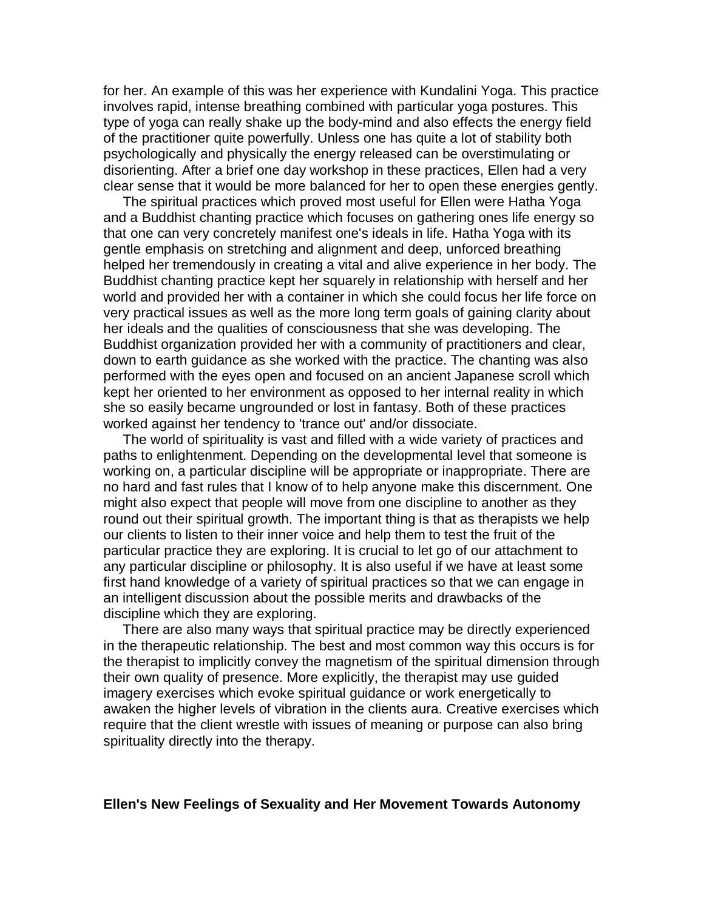for her. An example of this was her experience with Kundalini Yoga. This practice involves rapid, intense breathing combined with particular yoga postures. This type of yoga can really shake up the body-mind and also effects the energy field of the practitioner quite powerfully. Unless one has quite a lot of stability both psychologically and physically the energy released can be overstimulating or disorienting. After a brief one day workshop in these practices, Ellen had a very clear sense that it would be more balanced for her to open these energies gently.

 The spiritual practices which proved most useful for Ellen were Hatha Yoga and a Buddhist chanting practice which focuses on gathering ones life energy so that one can very concretely manifest one's ideals in life. Hatha Yoga with its gentle emphasis on stretching and alignment and deep, unforced breathing helped her tremendously in creating a vital and alive experience in her body. The Buddhist chanting practice kept her squarely in relationship with herself and her world and provided her with a container in which she could focus her life force on very practical issues as well as the more long term goals of gaining clarity about her ideals and the qualities of consciousness that she was developing. The Buddhist organization provided her with a community of practitioners and clear, down to earth guidance as she worked with the practice. The chanting was also performed with the eyes open and focused on an ancient Japanese scroll which kept her oriented to her environment as opposed to her internal reality in which she so easily became ungrounded or lost in fantasy. Both of these practices worked against her tendency to 'trance out' and/or dissociate.

 The world of spirituality is vast and filled with a wide variety of practices and paths to enlightenment. Depending on the developmental level that someone is working on, a particular discipline will be appropriate or inappropriate. There are no hard and fast rules that I know of to help anyone make this discernment. One might also expect that people will move from one discipline to another as they round out their spiritual growth. The important thing is that as therapists we help our clients to listen to their inner voice and help them to test the fruit of the particular practice they are exploring. It is crucial to let go of our attachment to any particular discipline or philosophy. It is also useful if we have at least some first hand knowledge of a variety of spiritual practices so that we can engage in an intelligent discussion about the possible merits and drawbacks of the discipline which they are exploring.

 There are also many ways that spiritual practice may be directly experienced in the therapeutic relationship. The best and most common way this occurs is for the therapist to implicitly convey the magnetism of the spiritual dimension through their own quality of presence. More explicitly, the therapist may use guided imagery exercises which evoke spiritual guidance or work energetically to awaken the higher levels of vibration in the clients aura. Creative exercises which require that the client wrestle with issues of meaning or purpose can also bring spirituality directly into the therapy.

### **Ellen's New Feelings of Sexuality and Her Movement Towards Autonomy**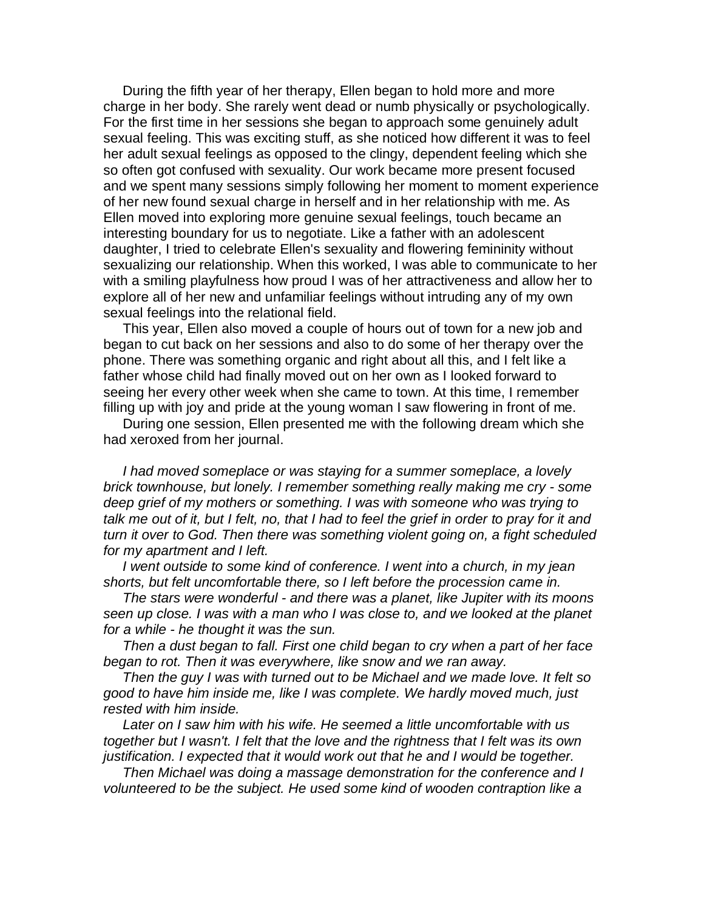During the fifth year of her therapy, Ellen began to hold more and more charge in her body. She rarely went dead or numb physically or psychologically. For the first time in her sessions she began to approach some genuinely adult sexual feeling. This was exciting stuff, as she noticed how different it was to feel her adult sexual feelings as opposed to the clingy, dependent feeling which she so often got confused with sexuality. Our work became more present focused and we spent many sessions simply following her moment to moment experience of her new found sexual charge in herself and in her relationship with me. As Ellen moved into exploring more genuine sexual feelings, touch became an interesting boundary for us to negotiate. Like a father with an adolescent daughter, I tried to celebrate Ellen's sexuality and flowering femininity without sexualizing our relationship. When this worked, I was able to communicate to her with a smiling playfulness how proud I was of her attractiveness and allow her to explore all of her new and unfamiliar feelings without intruding any of my own sexual feelings into the relational field.

 This year, Ellen also moved a couple of hours out of town for a new job and began to cut back on her sessions and also to do some of her therapy over the phone. There was something organic and right about all this, and I felt like a father whose child had finally moved out on her own as I looked forward to seeing her every other week when she came to town. At this time, I remember filling up with joy and pride at the young woman I saw flowering in front of me.

 During one session, Ellen presented me with the following dream which she had xeroxed from her journal.

 *I had moved someplace or was staying for a summer someplace, a lovely brick townhouse, but lonely. I remember something really making me cry - some deep grief of my mothers or something. I was with someone who was trying to talk me out of it, but I felt, no, that I had to feel the grief in order to pray for it and turn it over to God. Then there was something violent going on, a fight scheduled for my apartment and I left.*

 *I went outside to some kind of conference. I went into a church, in my jean shorts, but felt uncomfortable there, so I left before the procession came in.*

 *The stars were wonderful - and there was a planet, like Jupiter with its moons seen up close. I was with a man who I was close to, and we looked at the planet for a while - he thought it was the sun.*

 *Then a dust began to fall. First one child began to cry when a part of her face began to rot. Then it was everywhere, like snow and we ran away.*

 *Then the guy I was with turned out to be Michael and we made love. It felt so good to have him inside me, like I was complete. We hardly moved much, just rested with him inside.*

 *Later on I saw him with his wife. He seemed a little uncomfortable with us together but I wasn't. I felt that the love and the rightness that I felt was its own justification. I expected that it would work out that he and I would be together.*

 *Then Michael was doing a massage demonstration for the conference and I volunteered to be the subject. He used some kind of wooden contraption like a*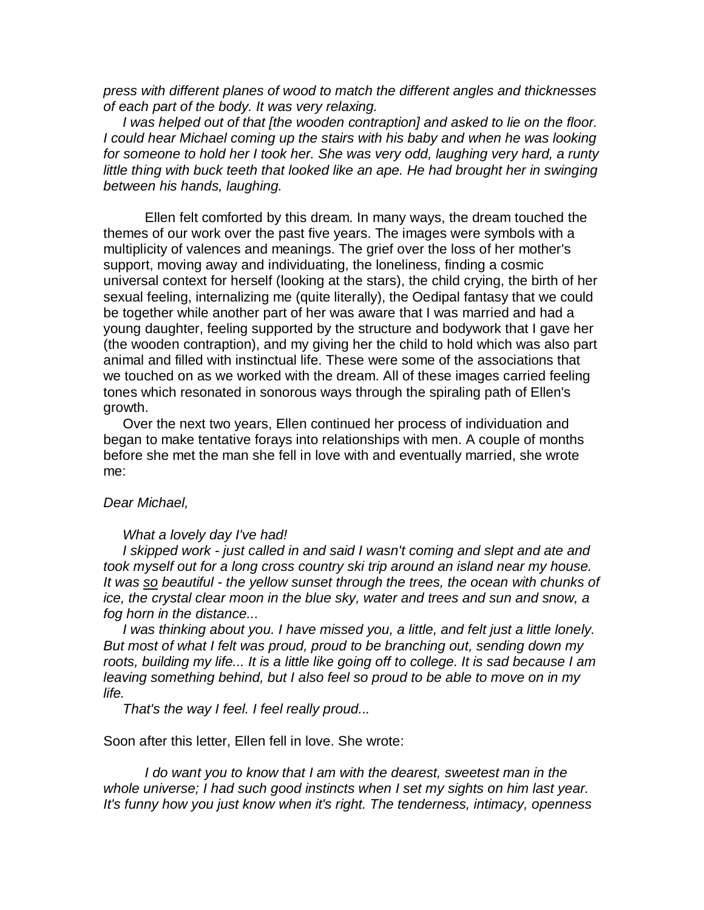*press with different planes of wood to match the different angles and thicknesses of each part of the body. It was very relaxing.*

 *I was helped out of that [the wooden contraption] and asked to lie on the floor. I could hear Michael coming up the stairs with his baby and when he was looking for someone to hold her I took her. She was very odd, laughing very hard, a runty little thing with buck teeth that looked like an ape. He had brought her in swinging between his hands, laughing.*

 Ellen felt comforted by this dream. In many ways, the dream touched the themes of our work over the past five years. The images were symbols with a multiplicity of valences and meanings. The grief over the loss of her mother's support, moving away and individuating, the loneliness, finding a cosmic universal context for herself (looking at the stars), the child crying, the birth of her sexual feeling, internalizing me (quite literally), the Oedipal fantasy that we could be together while another part of her was aware that I was married and had a young daughter, feeling supported by the structure and bodywork that I gave her (the wooden contraption), and my giving her the child to hold which was also part animal and filled with instinctual life. These were some of the associations that we touched on as we worked with the dream. All of these images carried feeling tones which resonated in sonorous ways through the spiraling path of Ellen's growth.

 Over the next two years, Ellen continued her process of individuation and began to make tentative forays into relationships with men. A couple of months before she met the man she fell in love with and eventually married, she wrote me:

#### *Dear Michael,*

#### *What a lovely day I've had!*

 *I skipped work - just called in and said I wasn't coming and slept and ate and took myself out for a long cross country ski trip around an island near my house. It was so beautiful - the yellow sunset through the trees, the ocean with chunks of ice, the crystal clear moon in the blue sky, water and trees and sun and snow, a fog horn in the distance...*

 *I was thinking about you. I have missed you, a little, and felt just a little lonely. But most of what I felt was proud, proud to be branching out, sending down my roots, building my life... It is a little like going off to college. It is sad because I am leaving something behind, but I also feel so proud to be able to move on in my life.*

 *That's the way I feel. I feel really proud...*

Soon after this letter, Ellen fell in love. She wrote:

*I do want you to know that I am with the dearest, sweetest man in the whole universe; I had such good instincts when I set my sights on him last year. It's funny how you just know when it's right. The tenderness, intimacy, openness*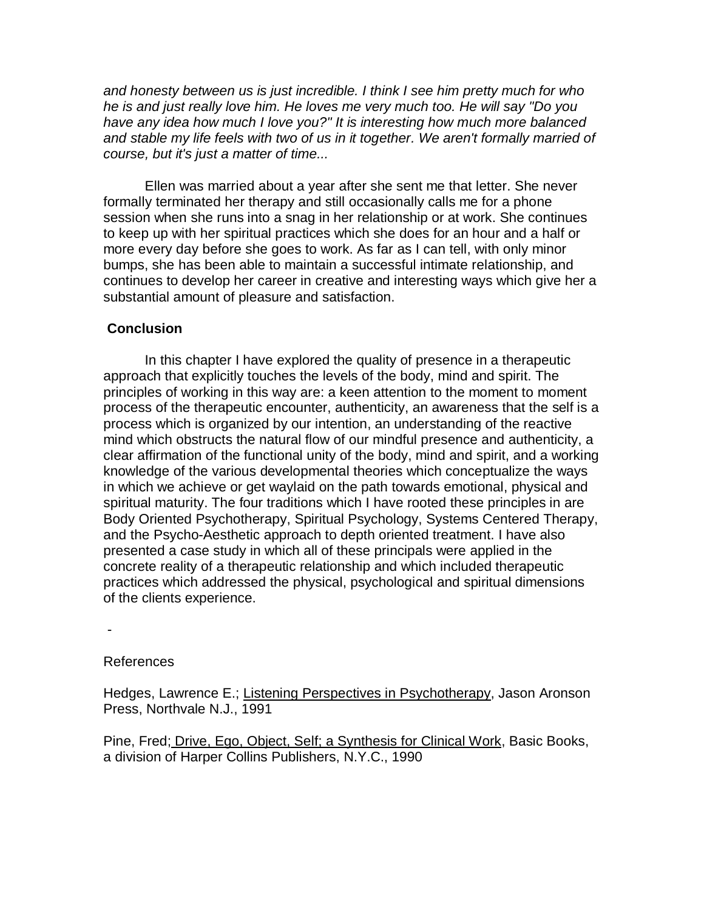*and honesty between us is just incredible. I think I see him pretty much for who he is and just really love him. He loves me very much too. He will say "Do you have any idea how much I love you?" It is interesting how much more balanced and stable my life feels with two of us in it together. We aren't formally married of course, but it's just a matter of time...*

 Ellen was married about a year after she sent me that letter. She never formally terminated her therapy and still occasionally calls me for a phone session when she runs into a snag in her relationship or at work. She continues to keep up with her spiritual practices which she does for an hour and a half or more every day before she goes to work. As far as I can tell, with only minor bumps, she has been able to maintain a successful intimate relationship, and continues to develop her career in creative and interesting ways which give her a substantial amount of pleasure and satisfaction.

## **Conclusion**

 In this chapter I have explored the quality of presence in a therapeutic approach that explicitly touches the levels of the body, mind and spirit. The principles of working in this way are: a keen attention to the moment to moment process of the therapeutic encounter, authenticity, an awareness that the self is a process which is organized by our intention, an understanding of the reactive mind which obstructs the natural flow of our mindful presence and authenticity, a clear affirmation of the functional unity of the body, mind and spirit, and a working knowledge of the various developmental theories which conceptualize the ways in which we achieve or get waylaid on the path towards emotional, physical and spiritual maturity. The four traditions which I have rooted these principles in are Body Oriented Psychotherapy, Spiritual Psychology, Systems Centered Therapy, and the Psycho-Aesthetic approach to depth oriented treatment. I have also presented a case study in which all of these principals were applied in the concrete reality of a therapeutic relationship and which included therapeutic practices which addressed the physical, psychological and spiritual dimensions of the clients experience.

-

### References

Hedges, Lawrence E.; Listening Perspectives in Psychotherapy, Jason Aronson Press, Northvale N.J., 1991

Pine, Fred; Drive, Ego, Object, Self; a Synthesis for Clinical Work, Basic Books, a division of Harper Collins Publishers, N.Y.C., 1990